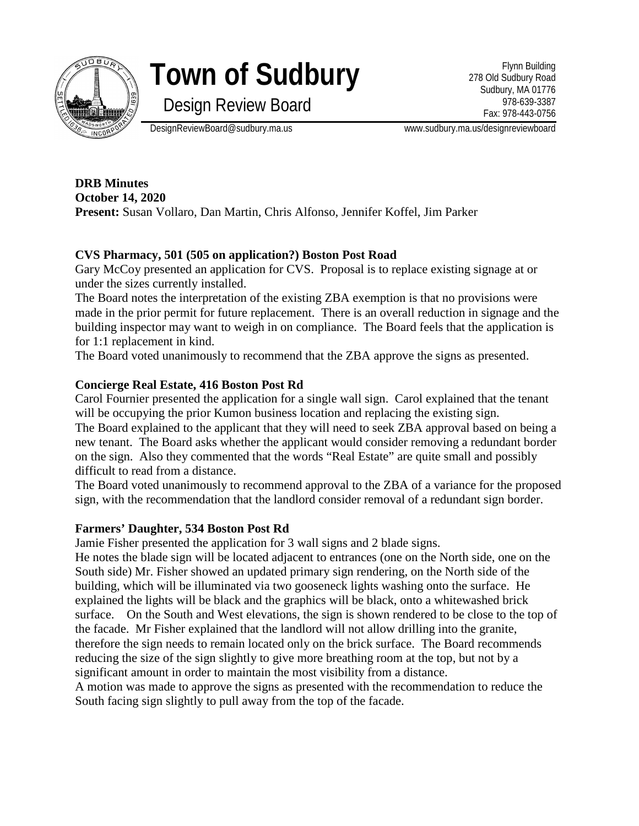

# **Town of Sudbury**

Flynn Building 278 Old Sudbury Road Sudbury, MA 01776 978-639-3387 Fax: 978-443-0756

Design Review Board

DesignReviewBoard@sudbury.ma.us www.sudbury.ma.us/designreviewboard

**DRB Minutes October 14, 2020 Present:** Susan Vollaro, Dan Martin, Chris Alfonso, Jennifer Koffel, Jim Parker

## **CVS Pharmacy, 501 (505 on application?) Boston Post Road**

Gary McCoy presented an application for CVS. Proposal is to replace existing signage at or under the sizes currently installed.

The Board notes the interpretation of the existing ZBA exemption is that no provisions were made in the prior permit for future replacement. There is an overall reduction in signage and the building inspector may want to weigh in on compliance. The Board feels that the application is for 1:1 replacement in kind.

The Board voted unanimously to recommend that the ZBA approve the signs as presented.

#### **Concierge Real Estate, 416 Boston Post Rd**

Carol Fournier presented the application for a single wall sign. Carol explained that the tenant will be occupying the prior Kumon business location and replacing the existing sign.

The Board explained to the applicant that they will need to seek ZBA approval based on being a new tenant. The Board asks whether the applicant would consider removing a redundant border on the sign. Also they commented that the words "Real Estate" are quite small and possibly difficult to read from a distance.

The Board voted unanimously to recommend approval to the ZBA of a variance for the proposed sign, with the recommendation that the landlord consider removal of a redundant sign border.

#### **Farmers' Daughter, 534 Boston Post Rd**

Jamie Fisher presented the application for 3 wall signs and 2 blade signs.

He notes the blade sign will be located adjacent to entrances (one on the North side, one on the South side) Mr. Fisher showed an updated primary sign rendering, on the North side of the building, which will be illuminated via two gooseneck lights washing onto the surface. He explained the lights will be black and the graphics will be black, onto a whitewashed brick surface. On the South and West elevations, the sign is shown rendered to be close to the top of the facade. Mr Fisher explained that the landlord will not allow drilling into the granite, therefore the sign needs to remain located only on the brick surface. The Board recommends reducing the size of the sign slightly to give more breathing room at the top, but not by a significant amount in order to maintain the most visibility from a distance.

A motion was made to approve the signs as presented with the recommendation to reduce the South facing sign slightly to pull away from the top of the facade.